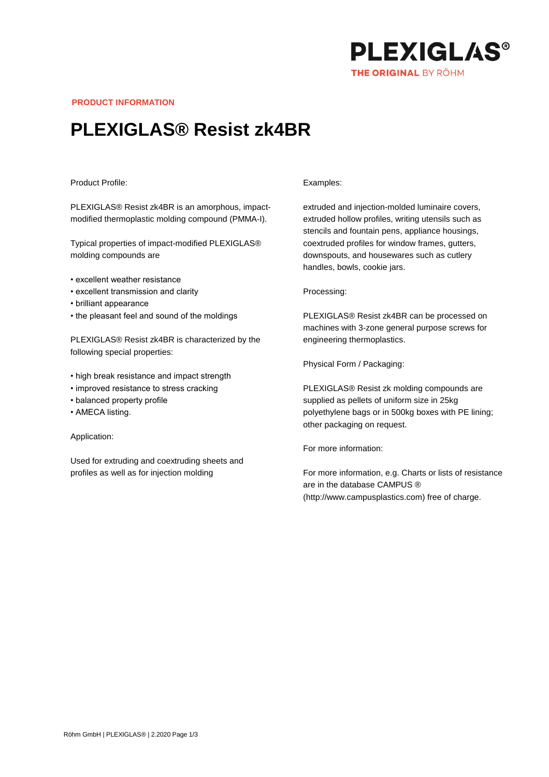

**PRODUCT INFORMATION**

## **PLEXIGLAS® Resist zk4BR**

## Product Profile:

PLEXIGLAS® Resist zk4BR is an amorphous, impactmodified thermoplastic molding compound (PMMA-I).

Typical properties of impact-modified PLEXIGLAS® molding compounds are

- excellent weather resistance
- excellent transmission and clarity
- brilliant appearance
- the pleasant feel and sound of the moldings

PLEXIGLAS® Resist zk4BR is characterized by the following special properties:

- high break resistance and impact strength
- improved resistance to stress cracking
- balanced property profile
- AMECA listing.

Application:

Used for extruding and coextruding sheets and profiles as well as for injection molding

## Examples:

extruded and injection-molded luminaire covers, extruded hollow profiles, writing utensils such as stencils and fountain pens, appliance housings, coextruded profiles for window frames, gutters, downspouts, and housewares such as cutlery handles, bowls, cookie jars.

Processing:

PLEXIGLAS® Resist zk4BR can be processed on machines with 3-zone general purpose screws for engineering thermoplastics.

Physical Form / Packaging:

PLEXIGLAS® Resist zk molding compounds are supplied as pellets of uniform size in 25kg polyethylene bags or in 500kg boxes with PE lining; other packaging on request.

For more information:

For more information, e.g. Charts or lists of resistance are in the database CAMPUS ® (http://www.campusplastics.com) free of charge.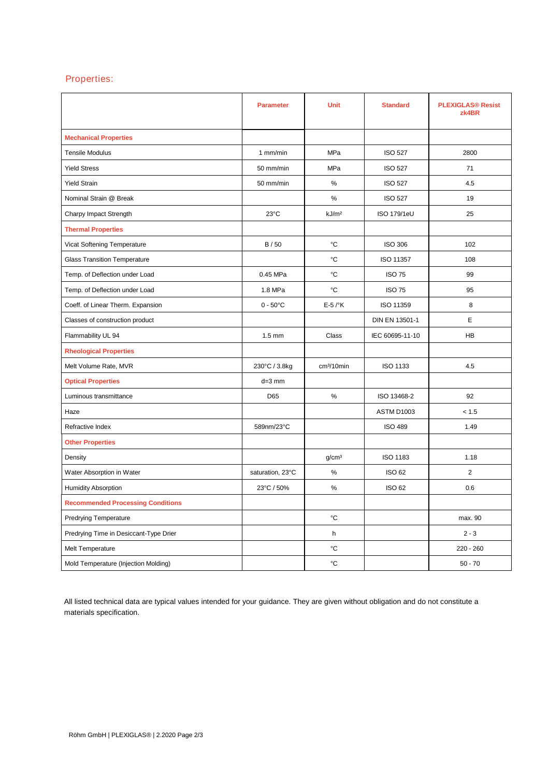## Properties:

|                                          | <b>Parameter</b>   | <b>Unit</b>            | <b>Standard</b>    | <b>PLEXIGLAS® Resist</b><br>zk4BR |
|------------------------------------------|--------------------|------------------------|--------------------|-----------------------------------|
| <b>Mechanical Properties</b>             |                    |                        |                    |                                   |
| <b>Tensile Modulus</b>                   | 1 mm/min           | MPa                    | <b>ISO 527</b>     | 2800                              |
| <b>Yield Stress</b>                      | 50 mm/min          | MPa                    | <b>ISO 527</b>     | 71                                |
| <b>Yield Strain</b>                      | 50 mm/min          | $\%$                   | <b>ISO 527</b>     | 4.5                               |
| Nominal Strain @ Break                   |                    | $\%$                   | <b>ISO 527</b>     | 19                                |
| Charpy Impact Strength                   | $23^{\circ}$ C     | kJ/m <sup>2</sup>      | <b>ISO 179/1eU</b> | 25                                |
| <b>Thermal Properties</b>                |                    |                        |                    |                                   |
| Vicat Softening Temperature              | B/50               | °C                     | <b>ISO 306</b>     | 102                               |
| <b>Glass Transition Temperature</b>      |                    | °C                     | ISO 11357          | 108                               |
| Temp. of Deflection under Load           | 0.45 MPa           | °C                     | <b>ISO 75</b>      | 99                                |
| Temp. of Deflection under Load           | 1.8 MPa            | °C                     | <b>ISO 75</b>      | 95                                |
| Coeff. of Linear Therm. Expansion        | $0 - 50^{\circ}$ C | $E-5$ / $\mathrm{K}$   | ISO 11359          | 8                                 |
| Classes of construction product          |                    |                        | DIN EN 13501-1     | Е                                 |
| Flammability UL 94                       | $1.5 \text{ mm}$   | Class                  | IEC 60695-11-10    | HB                                |
| <b>Rheological Properties</b>            |                    |                        |                    |                                   |
| Melt Volume Rate, MVR                    | 230°C / 3.8kg      | cm <sup>3</sup> /10min | <b>ISO 1133</b>    | 4.5                               |
| <b>Optical Properties</b>                | $d=3$ mm           |                        |                    |                                   |
| Luminous transmittance                   | D65                | %                      | ISO 13468-2        | 92                                |
| Haze                                     |                    |                        | ASTM D1003         | < 1.5                             |
| Refractive Index                         | 589nm/23°C         |                        | <b>ISO 489</b>     | 1.49                              |
| <b>Other Properties</b>                  |                    |                        |                    |                                   |
| Density                                  |                    | g/cm <sup>3</sup>      | <b>ISO 1183</b>    | 1.18                              |
| Water Absorption in Water                | saturation, 23°C   | $\%$                   | <b>ISO 62</b>      | 2                                 |
| <b>Humidity Absorption</b>               | 23°C / 50%         | $\%$                   | <b>ISO 62</b>      | 0.6                               |
| <b>Recommended Processing Conditions</b> |                    |                        |                    |                                   |
| <b>Predrying Temperature</b>             |                    | °C                     |                    | max. 90                           |
| Predrying Time in Desiccant-Type Drier   |                    | h                      |                    | $2 - 3$                           |
| Melt Temperature                         |                    | °C                     |                    | $220 - 260$                       |
| Mold Temperature (Injection Molding)     |                    | °C                     |                    | $50 - 70$                         |

All listed technical data are typical values intended for your guidance. They are given without obligation and do not constitute a materials specification.